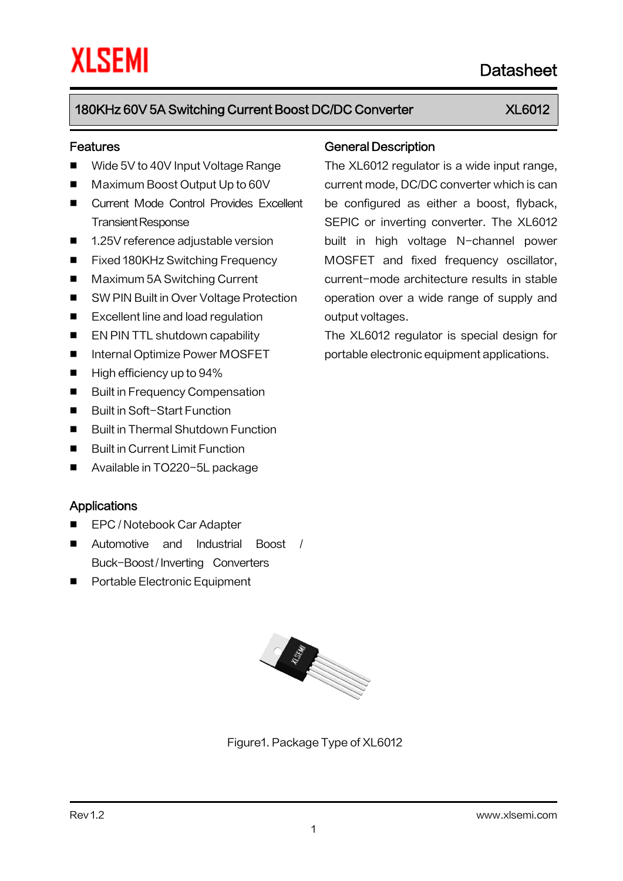#### Features

- Wide 5V to 40V Input Voltage Range
- Maximum Boost Output Up to 60V
- **E** Current Mode Control Provides Excellent Transient Response
- 1.25V reference adjustable version
- Fixed 180KHz Switching Frequency
- Maximum 5A Switching Current
- SW PIN Built in Over Voltage Protection
- Excellent line and load regulation
- **EN PIN TTL shutdown capability**
- Internal Optimize Power MOSFET
- $\blacksquare$  High efficiency up to 94%
- Built in Frequency Compensation
- Built in Soft-Start Function
- Built in Thermal Shutdown Function
- **Built in Current Limit Function**
- Available in TO220-5L package

#### Applications

- EPC / Notebook Car Adapter
- Automotive and Industrial Boost / Buck-Boost/ Inverting Converters
- **Portable Electronic Equipment**

# **Contractor** Contractor Contractor

Figure1. Package Type of XL6012

#### General Description

The XL6012 regulator is a wide input range, current mode, DC/DC converter which is can be configured as either a boost, flyback, SEPIC or inverting converter. The XL6012 built in high voltage N-channel power MOSFET and fixed frequency oscillator, current-mode architecture results in stable operation over a wide range of supply and output voltages.

The XL6012 regulator is special design for portable electronic equipment applications.

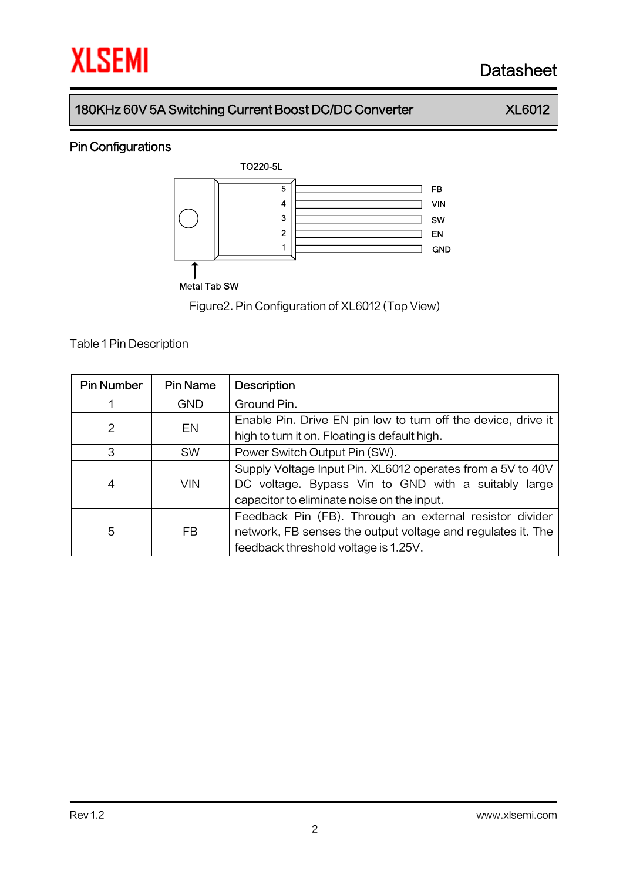## Pin Configurations



Figure2.Pin Configuration of XL6012 (Top View)

**Table 1 Pin Description** 

| <b>Pin Number</b> | <b>Pin Name</b> | <b>Description</b>                                            |  |  |
|-------------------|-----------------|---------------------------------------------------------------|--|--|
| 1                 | GND             | Ground Pin.                                                   |  |  |
| 2<br>EN           |                 | Enable Pin. Drive EN pin low to turn off the device, drive it |  |  |
|                   |                 | high to turn it on. Floating is default high.                 |  |  |
| 3                 | <b>SW</b>       | Power Switch Output Pin (SW).                                 |  |  |
|                   | <b>VIN</b>      | Supply Voltage Input Pin. XL6012 operates from a 5V to 40V    |  |  |
| 4                 |                 | DC voltage. Bypass Vin to GND with a suitably large           |  |  |
|                   |                 | capacitor to eliminate noise on the input.                    |  |  |
|                   | FB              | Feedback Pin (FB). Through an external resistor divider       |  |  |
| 5                 |                 | network, FB senses the output voltage and regulates it. The   |  |  |
|                   |                 | feedback threshold voltage is 1.25V.                          |  |  |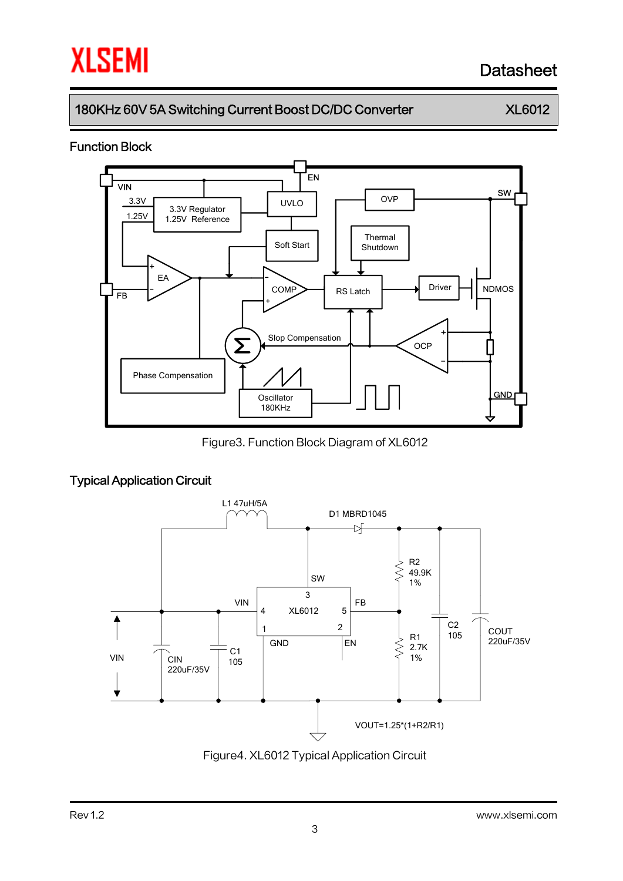## 180KHz 60V 5A Switching Current Boost DC/DC Converter XL6012

#### Function Block



Figure3. Function Block Diagram of XL6012

### Typical Application Circuit



Figure4. XL6012 Typical Application Circuit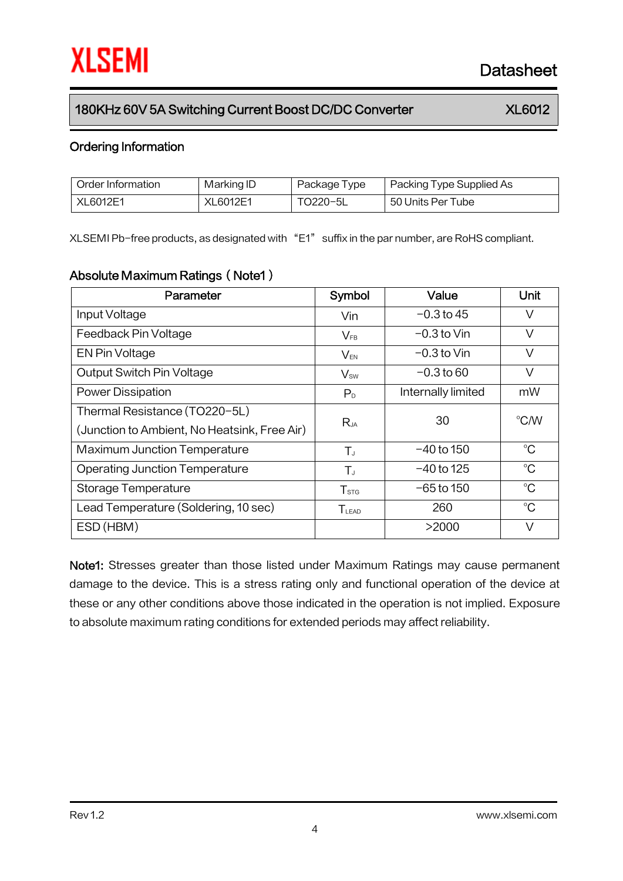#### Ordering Information

| Order Information | Marking ID | Package Type | Packing Type Supplied As |
|-------------------|------------|--------------|--------------------------|
| XL6012E1          | XL6012E1   | TO220-5L     | 50 Units Per Tube        |

XLSEMI Pb-free products, as designated with "E1" suffix in the par number, are RoHS compliant.

#### Absolute Maximum Ratings (Note1)

| Parameter                                    | Symbol                      | Value              | Unit        |
|----------------------------------------------|-----------------------------|--------------------|-------------|
| Input Voltage                                | Vin                         | $-0.3$ to 45       | V           |
| Feedback Pin Voltage                         | $V_{FB}$                    | $-0.3$ to Vin      | V           |
| EN Pin Voltage                               | $V_{EN}$                    | $-0.3$ to Vin      | $\vee$      |
| Output Switch Pin Voltage                    | $V_{sw}$                    | $-0.3$ to 60       | $\vee$      |
| <b>Power Dissipation</b>                     | P <sub>D</sub>              | Internally limited | mW          |
| Thermal Resistance (TO220-5L)                | $R_{JA}$                    | 30                 | °C/W        |
| (Junction to Ambient, No Heatsink, Free Air) |                             |                    |             |
| <b>Maximum Junction Temperature</b>          | $T_{J}$                     | $-40$ to 150       | $^{\circ}C$ |
| <b>Operating Junction Temperature</b>        | $T_{J}$                     | -40 to 125         | $^{\circ}C$ |
| Storage Temperature                          | $\mathsf{T}_{\texttt{STG}}$ | $-65$ to 150       | $^{\circ}C$ |
| Lead Temperature (Soldering, 10 sec)         | TLEAD                       | 260                | $^{\circ}C$ |
| ESD (HBM)                                    |                             | >2000              | $\vee$      |

Note1: Stresses greater than those listed under Maximum Ratings may cause permanent damage to the device. This is a stress rating only and functional operation of the device at these or any other conditions above those indicated in the operation is not implied. Exposure to absolute maximum rating conditions for extended periods may affect reliability.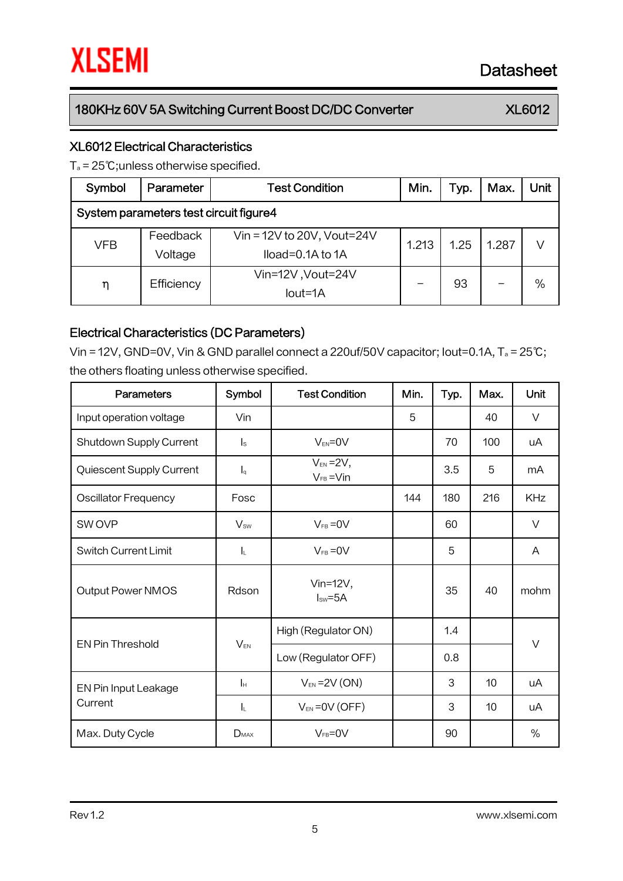#### XL6012 Electrical Characteristics

T<sup>a</sup> = 25℃;unless otherwise specified.

| Symbol                                 | Parameter           | <b>Test Condition</b>                                      | Min.  | Typ. | Max.  | Unit |  |
|----------------------------------------|---------------------|------------------------------------------------------------|-------|------|-------|------|--|
| System parameters test circuit figure4 |                     |                                                            |       |      |       |      |  |
| VFB                                    | Feedback<br>Voltage | Vin = $12V$ to $20V$ , Vout= $24V$<br>$Iload=0.1A$ to $1A$ | 1.213 | 1.25 | 1.287 | V    |  |
| η                                      | Efficiency          | Vin=12V, Vout=24V<br>$Iout=1A$                             |       | 93   |       | $\%$ |  |

#### Electrical Characteristics (DC Parameters)

Vin = 12V, GND=0V, Vin & GND parallel connect a 220uf/50V capacitor; Iout=0.1A, T<sup>a</sup> = 25℃; the others floating unless otherwise specified.

| <b>Parameters</b>           | Symbol                    | <b>Test Condition</b>              | Min. | Typ. | Max. | <b>Unit</b> |
|-----------------------------|---------------------------|------------------------------------|------|------|------|-------------|
| Input operation voltage     | Vin                       |                                    | 5    |      | 40   | $\vee$      |
| Shutdown Supply Current     | $\mathsf{I}_\mathsf{S}$   | $V_{EN} = 0V$                      |      | 70   | 100  | uA          |
| Quiescent Supply Current    | $\mathsf{I}_{\mathsf{q}}$ | $V_{EN} = 2V$ ,<br>$V_{FB} = V$ in |      | 3.5  | 5    | mA          |
| <b>Oscillator Frequency</b> | Fosc                      |                                    | 144  | 180  | 216  | <b>KHz</b>  |
| SW OVP                      | $V_{sw}$                  | $V_{FB} = 0V$                      |      | 60   |      | $\vee$      |
| <b>Switch Current Limit</b> | $\mathsf{l}_\mathsf{L}$   | $V_{FB} = 0V$                      |      | 5    |      | A           |
| Output Power NMOS           | Rdson                     | Vin= $12V$ ,<br>$Isw=5A$           |      | 35   | 40   | mohm        |
|                             | $V_{EN}$                  | High (Regulator ON)                |      | 1.4  |      |             |
| <b>EN Pin Threshold</b>     |                           | Low (Regulator OFF)                |      | 0.8  |      | $\vee$      |
| EN Pin Input Leakage        | Iн                        | $V_{EN}$ = 2V (ON)                 |      | 3    | 10   | uA          |
| Current                     | IL.                       | $V_{EN}$ = 0 $V$ (OFF)             |      | 3    | 10   | uA          |
| Max. Duty Cycle             | $D_{MAX}$                 | $V_{FB} = 0V$                      |      | 90   |      | $\%$        |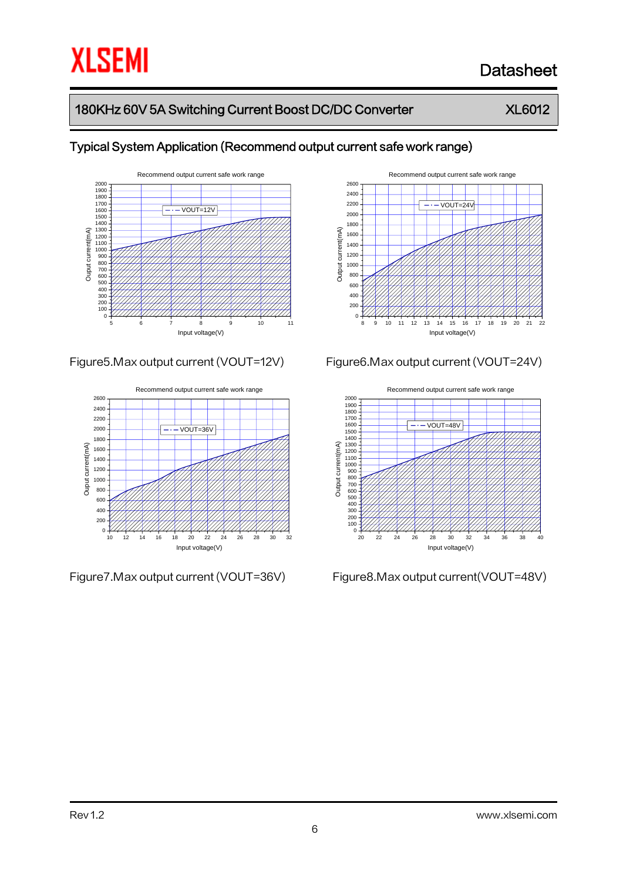## 180KHz 60V 5A Switching Current Boost DC/DC Converter XL6012



### Typical System Application (Recommend output current safe work range)





Figure7.Max output current (VOUT=36V) Figure8.Max output current(VOUT=48V)



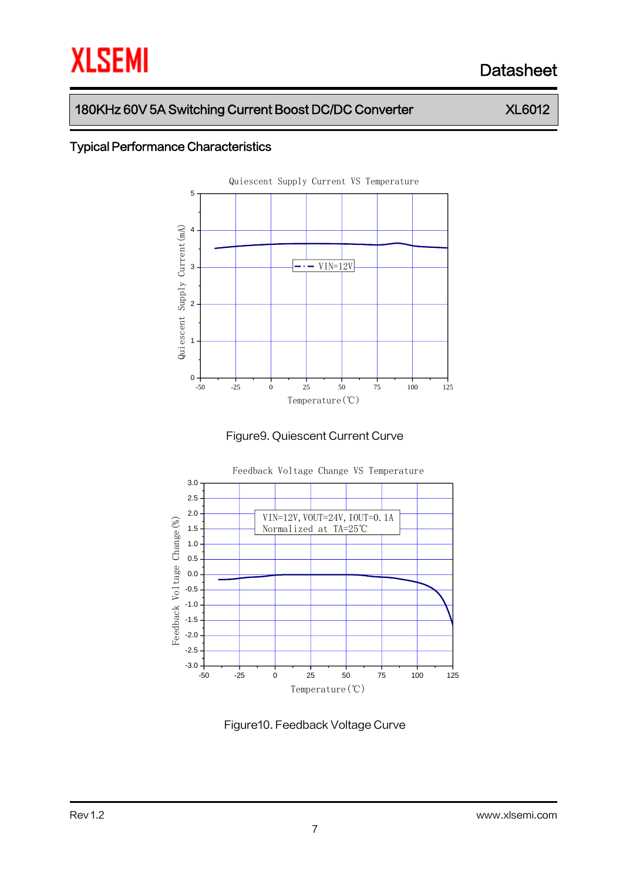### 180KHz 60V 5A Switching Current Boost DC/DC Converter XL6012

## Typical Performance Characteristics







Figure10. Feedback Voltage Curve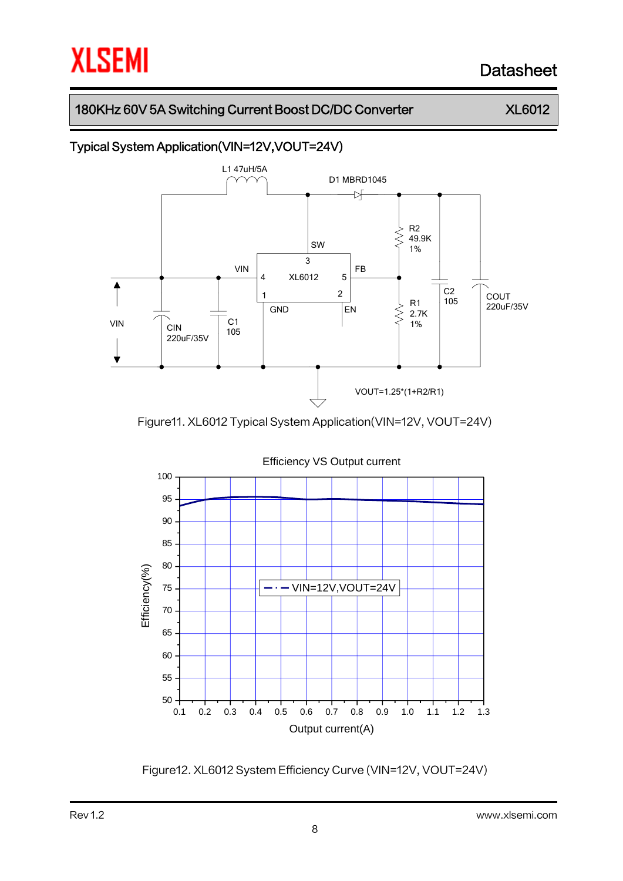### 180KHz 60V 5A Switching Current Boost DC/DC Converter XL6012

## Typical System Application(VIN=12V,VOUT=24V)



Figure11. XL6012 Typical System Application(VIN=12V, VOUT=24V)



Figure12. XL6012 System Efficiency Curve (VIN=12V, VOUT=24V)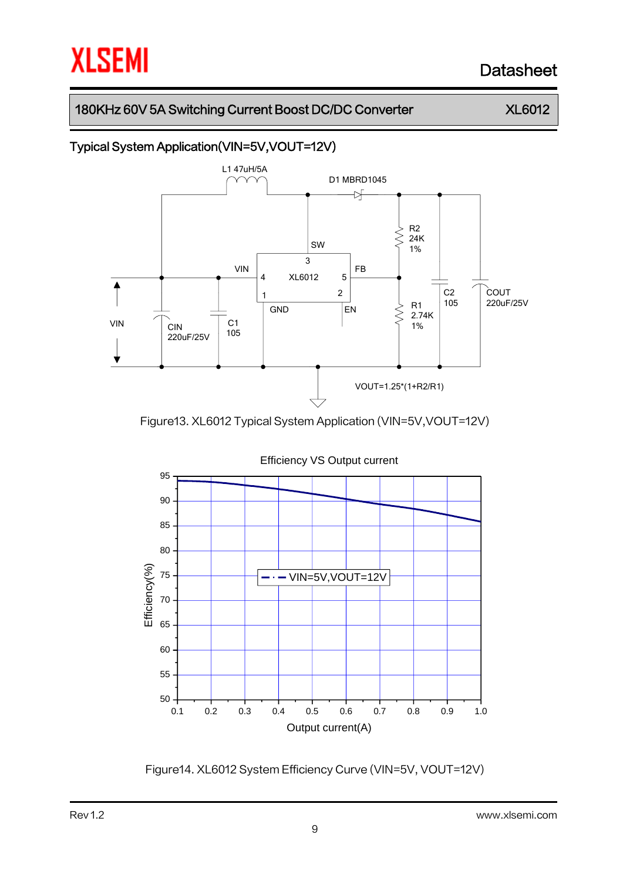### 180KHz 60V 5A Switching Current Boost DC/DC Converter XL6012

## Typical System Application(VIN=5V,VOUT=12V)



Figure13. XL6012 Typical System Application (VIN=5V,VOUT=12V)



Figure14. XL6012 System Efficiency Curve (VIN=5V, VOUT=12V)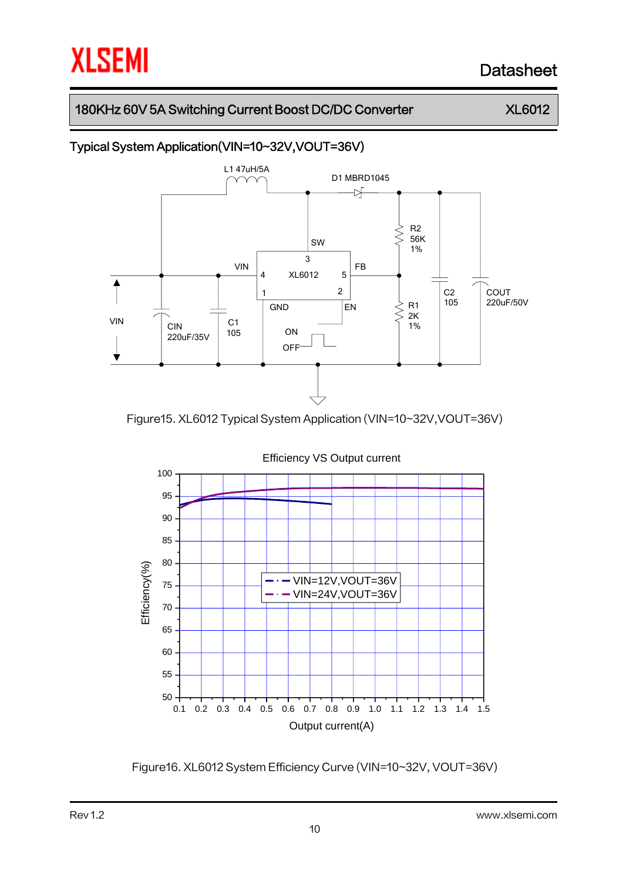### 180KHz 60V 5A Switching Current Boost DC/DC Converter XL6012

## Typical System Application(VIN=10~32V,VOUT=36V)



Figure15. XL6012 Typical System Application (VIN=10~32V,VOUT=36V)



Figure16. XL6012 System Efficiency Curve (VIN=10~32V, VOUT=36V)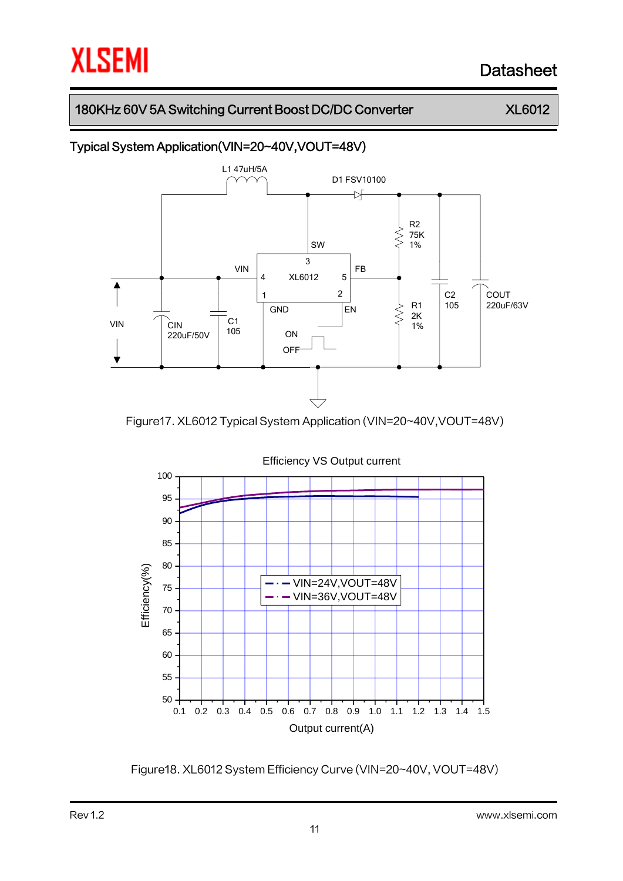### 180KHz 60V 5A Switching Current Boost DC/DC Converter XL6012

## Typical System Application(VIN=20~40V,VOUT=48V)



Figure17. XL6012 Typical System Application (VIN=20~40V,VOUT=48V)



Figure18. XL6012 System Efficiency Curve (VIN=20~40V, VOUT=48V)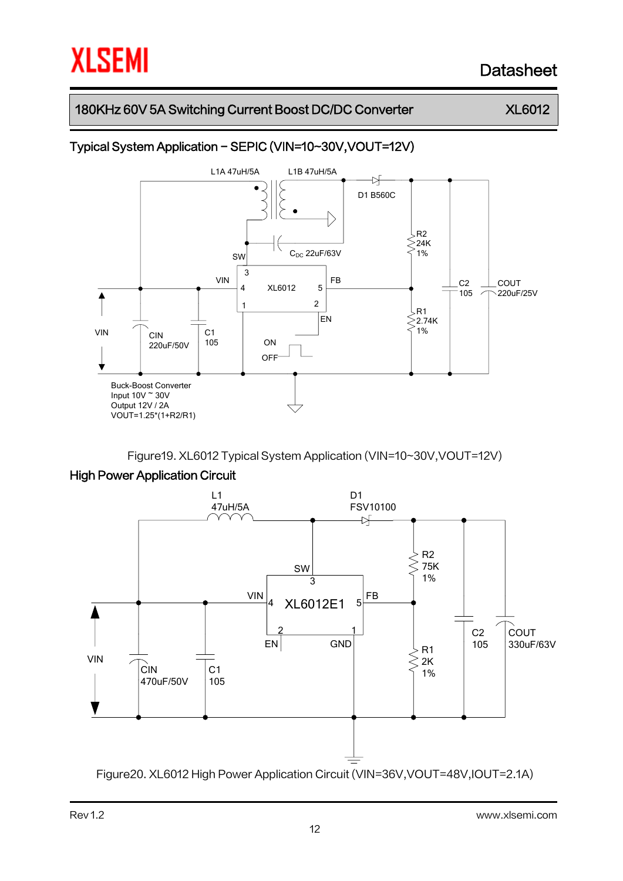### 180KHz 60V 5A Switching Current Boost DC/DC Converter XL6012

## Typical System Application - SEPIC (VIN=10~30V,VOUT=12V)



Figure19. XL6012 Typical System Application (VIN=10~30V,VOUT=12V)

#### High Power Application Circuit



Figure20. XL6012 High Power Application Circuit (VIN=36V,VOUT=48V,IOUT=2.1A)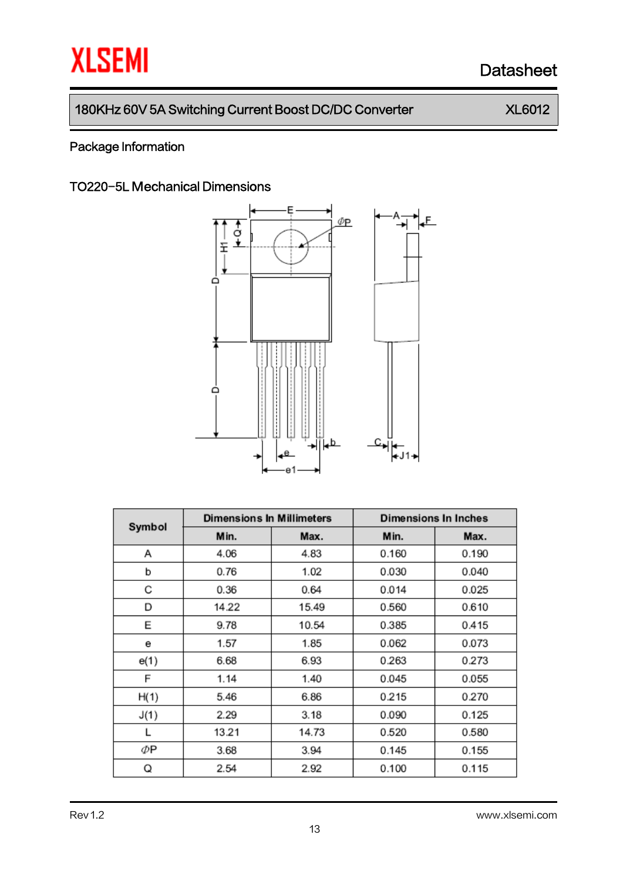## 180KHz 60V 5A Switching Current Boost DC/DC Converter XL6012

## Package Information

### TO220-5L Mechanical Dimensions



| Symbol | <b>Dimensions In Millimeters</b> |       | <b>Dimensions In Inches</b> |       |  |
|--------|----------------------------------|-------|-----------------------------|-------|--|
|        | Min.                             | Max.  | Min.                        | Max.  |  |
| А      | 4.06                             | 4.83  | 0.160                       | 0.190 |  |
| b      | 0.76                             | 1.02  | 0.030                       | 0.040 |  |
| С      | 0.36                             | 0.64  | 0.014                       | 0.025 |  |
| D      | 14.22                            | 15.49 | 0.560                       | 0.610 |  |
| E      | 9.78                             | 10.54 | 0.385                       | 0.415 |  |
| е      | 1.57                             | 1.85  | 0.062                       | 0.073 |  |
| e(1)   | 6.68                             | 6.93  | 0.263                       | 0.273 |  |
| F      | 1.14                             | 1.40  | 0.045                       | 0.055 |  |
| H(1)   | 5.46                             | 6.86  | 0.215                       | 0.270 |  |
| J(1)   | 2.29                             | 3.18  | 0.090                       | 0.125 |  |
| L      | 13.21                            | 14.73 | 0.520                       | 0.580 |  |
| ΦP     | 3.68                             | 3.94  | 0.145                       | 0.155 |  |
| Q      | 2.54                             | 2.92  | 0.100                       | 0.115 |  |